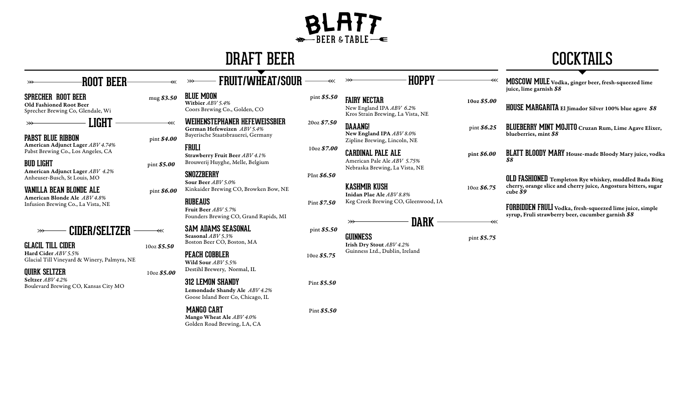# $\cdot$ REER & TARLE $\leftarrow$

## DRAFT BEER

 **FRUIT/WHEAT/SOUR** 



# **ROOT BEER**

Old Fashioned Root Beer Sprecher Brewing Co, Glendale, Wi

 **LIGHT** 

**PABST BLUE RIBBON** pint \$4.00

American Adjunct Lager *ABV 4.74%*  Pabst Brewing Co., Los Angeles, CA

#### **BUD LIGHT** pint *\$5.00*

American Adjunct Lager *ABV 4.2%*  Anheuser-Busch, St Louis, MO

**VANILLA BEAN BLONDE ALE** pint \$6.00

American Blonde Ale *ABV 4.8%* Infusion Brewing Co., La Vista, NE

### **CIDER/SELTZER**

**GLACIL TILL CIDER** 10oz *\$5.50* Hard Cider *ABV 5.5%* Glacial Till Vineyard & Winery, Palmyra, NE

**QUIRK SELTZER** 10oz *\$5.00*<br>Seltzer *ABV 4.2%* Boulevard Brewing CO, Kansas City MO

#### **SPRECHER ROOT BEER** mug \$3.50 **BLUE MOON** pint *\$5.50*

 $\overline{\mathcal{U}}$ 

 $\gg$ 

Witbier *ABV 5.4%* Coors Brewing Co., Golden, CO

**WEIHENSTEPHANER HEFEWEISSBIER** 20oz *\$7.50* German Hefeweizen *ABV 5.4%*  Bayerische Staatsbrauerei, Germany

**FRULI** 10oz *\$7.00* Strawberry Fruit Beer *ABV 4.1%*  Brouwerij Huyghe, Melle, Belgium

**SNOZZBERRY** PInt *\$6.50* Sour Beer *ABV 5.0%*  Kinkaider Brewing CO, Browken Bow, NE

**RUBEAUS** Pint *\$7.50* Fruit Beer *ABV 5.7%*  Founders Brewing CO, Grand Rapids, MI

**SAM ADAMS SEASONAL** pint \$5.50 Seasonal *ABV 5.3%* Boston Beer CO, Boston, MA

#### **PEACH COBBLER** 10oz *\$5.75* Wild Sour *ABV 5.5%*  Destihl Brewery, Normal, IL

**312 LEMON SHANDY** Pint *\$5.50*

#### Lemondade Shandy Ale *ABV 4.2%* Goose Island Beer Co, Chicago, IL

### **MANGO CART** Pint *\$5.50*

Mango Wheat Ale *ABV 4.0%*  Golden Road Brewing, LA, CA **FAIRY NECTAR** 10oz *\$5.00* New England IPA *ABV 6.2%*  Kros Strain Brewing, La Vista, NE

**DAAANG!** pint *\$6.25*  New England IPA *ABV 8.0%*  Zipline Brewing, Lincoln, NE

**CARDINAL PALE ALE** pint *\$6.00* American Pale Ale *ABV 5.75%*  Nebraska Brewing, La Vista, NE

**KASHMIR KUSH** 10oz *\$6.75* Inidan Plae Ale *ABV 8.8%*  Keg Creek Brewing CO, Gleenwood, IA

**DARK**

 **HOPPY**

**GUINNESS** pint *\$5.75*

#### Irish Dry Stout *ABV 4.2%*  Guinness Ltd., Dublin, Ireland

**MOSCOW MULE** Vodka, ginger beer, fresh-squeezed lime juice, lime garnish *\$8* 

**HOUSE MARGARITA** El Jimador Silver 100% blue agave *\$8* 

- **BLUEBERRY MINT MOJITO** Cruzan Rum, Lime Agave Elixer, blueberries, mint *\$8*
- **BLATT BLOODY MARY** House-made Bloody Mary juice, vodka *\$8*

**OLD FASHIONED** Templeton Rye whiskey, muddled Bada Bing cherry, orange slice and cherry juice, Angostura bitters, sugar cube *\$9* 

**FORBIDDEN FRULI** Vodka, fresh-squeezed lime juice, simple syrup, Fruli strawberry beer, cucumber garnish *\$8*

 $\overline{\ll}$ 

 $\ll$